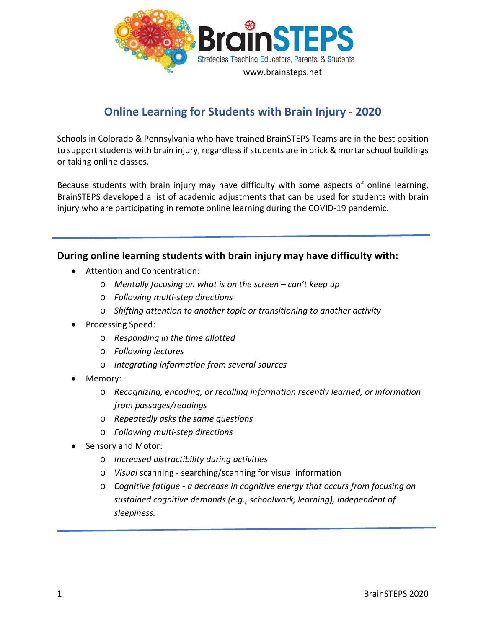

## **Online Learning for Students with Brain Injury - 2020**

Schools in Colorado & Pennsylvania who have trained BrainSTEPS Teams are in the best position to support students with brain injury, regardless if students are in brick & mortar school buildings or taking online classes.

Because students with brain injury may have difficulty with some aspects of online learning, BrainSTEPS developed a list of academic adjustments that can be used for students with brain injury who are participating in remote online learning during the COVID-19 pandemic.

## **During online learning students with brain injury may have difficulty with:**

- Attention and Concentration:
	- o *Mentally focusing on what is on the screen – can't keep up*
	- o *Following multi-step directions*
	- o *Shifting attention to another topic or transitioning to another activity*
- Processing Speed:
	- o *Responding in the time allotted*
	- o *Following lectures*
	- o *Integrating information from several sources*
- Memory:
	- o *Recognizing, encoding, or recalling information recently learned, or information from passages/readings*
	- o *Repeatedly asks the same questions*
	- o *Following multi-step directions*
- Sensory and Motor:
	- o *Increased distractibility during activities*
	- o *Visual* scanning searching/scanning for visual information
	- o *Cognitive fatigue - a decrease in cognitive energy that occurs from focusing on sustained cognitive demands (e.g., schoolwork, learning), independent of sleepiness.*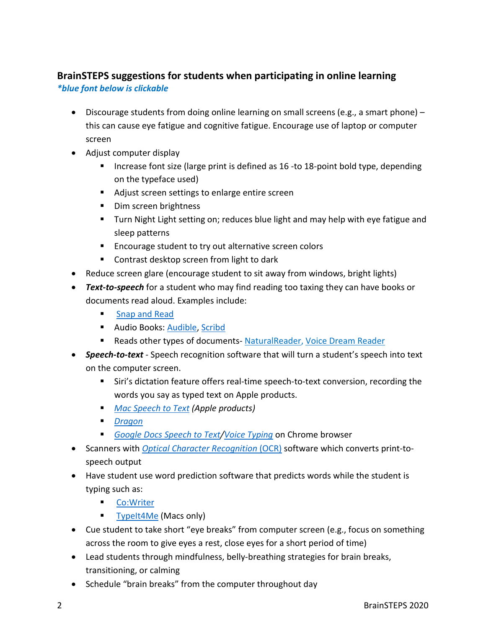## **BrainSTEPS suggestions for students when participating in online learning** *\*blue font below is clickable*

- Discourage students from doing online learning on small screens (e.g., a smart phone) this can cause eye fatigue and cognitive fatigue. Encourage use of laptop or computer screen
- Adjust computer display
	- Increase font size (large print is defined as 16 -to 18-point bold type, depending on the typeface used)
	- Adjust screen settings to enlarge entire screen
	- Dim screen brightness
	- Turn Night Light setting on; reduces blue light and may help with eye fatigue and sleep patterns
	- **EXECOUTEREN** Encourage student to try out alternative screen colors
	- Contrast desktop screen from light to dark
- Reduce screen glare (encourage student to sit away from windows, bright lights)
- *Text-to-speech* for a student who may find reading too taxing they can have books or documents read aloud. Examples include:
	- **[Snap and Read](https://learningtools.donjohnston.com/product/snap-read/)**
	- **Audio Books: [Audible,](https://www.audible.com/ep/freetrial?source_code=GO1GBSH09091690EF&device=d&ds_rl=1262685&ds_rl=1257028&ds_rl=1260658&cvosrc=ppc.google.audible&cvo_campaign=226473129&cvo_crid=384375965513&Matchtype=e&gclid=EAIaIQobChMI7_yTnrWn6AIVConICh37ZQcSEAAYASAAEgLTrvD_BwE&gclsrc=aw.ds) [Scribd](https://www.scribd.com/?lohp=1)**
	- Reads other types of documents- [NaturalReader,](https://www.naturalreaders.com/) [Voice Dream Reader](https://www.voicedream.com/reader/)
- *Speech-to-text* Speech recognition software that will turn a student's speech into text on the computer screen.
	- Siri's dictation feature offers real-time speech-to-text conversion, recording the words you say as typed text on Apple products.
	- *[Mac Speech to Text](https://www.youtube.com/watch?v=isveOL1kgM4) (Apple products)*
	- *[Dragon](https://www.nuance.com/dragon.html)*
	- *[Google Docs Speech to Text](https://www.techrepublic.com/article/pro-tip-how-to-speech-to-text-in-google-docs/)[/Voice Typing](https://www.smore.com/91m4v-voice-typing-in-google-docs)* on Chrome browser
- Scanners with *[Optical Character Recognition](https://www.onlineocr.net/)* (OCR) software which converts print-tospeech output
- Have student use word prediction software that predicts words while the student is typing such as:
	- [Co:Writer](https://learningtools.donjohnston.com/product/cowriter/)
	- **[TypeIt4Me](https://www.ettoresoftware.com/mac-apps/typeit4me/) (Macs only)**
- Cue student to take short "eye breaks" from computer screen (e.g., focus on something across the room to give eyes a rest, close eyes for a short period of time)
- Lead students through mindfulness, belly-breathing strategies for brain breaks, transitioning, or calming
- Schedule "brain breaks" from the computer throughout day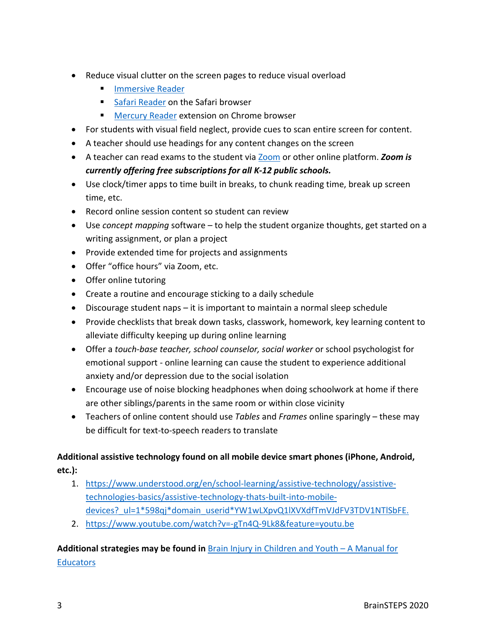- Reduce visual clutter on the screen pages to reduce visual overload
	- **[Immersive Reader](https://education.microsoft.com/en-us/resource/9b010288)**
	- [Safari Reader](https://www.google.com/search?q=safari+reader&oq=safari+reader++&aqs=chrome..69i57j0l7.3405j0j4&sourceid=chrome&ie=UTF-8) on the Safari browser
	- **[Mercury Reader](https://chrome.google.com/webstore/detail/mercury-reader/oknpjjbmpnndlpmnhmekjpocelpnlfdi) extension on Chrome browser**
- For students with visual field neglect, provide cues to scan entire screen for content.
- A teacher should use headings for any content changes on the screen
- A teacher can read exams to the student via [Zoom](https://zoom.us/docs/en-us/covid19.html) or other online platform. *Zoom is currently offering free subscriptions for all K-12 public schools.*
- Use clock/timer apps to time built in breaks, to chunk reading time, break up screen time, etc.
- Record online session content so student can review
- Use *concept mapping* software to help the student organize thoughts, get started on a writing assignment, or plan a project
- Provide extended time for projects and assignments
- Offer "office hours" via Zoom, etc.
- Offer online tutoring
- Create a routine and encourage sticking to a daily schedule
- Discourage student naps it is important to maintain a normal sleep schedule
- Provide checklists that break down tasks, classwork, homework, key learning content to alleviate difficulty keeping up during online learning
- Offer a *touch-base teacher, school counselor, social worker* or school psychologist for emotional support - online learning can cause the student to experience additional anxiety and/or depression due to the social isolation
- Encourage use of noise blocking headphones when doing schoolwork at home if there are other siblings/parents in the same room or within close vicinity
- Teachers of online content should use *Tables* and *Frames* online sparingly these may be difficult for text-to-speech readers to translate

## **Additional assistive technology found on all mobile device smart phones (iPhone, Android, etc.):**

- 1. [https://www.understood.org/en/school-learning/assistive-technology/assistive](https://www.understood.org/en/school-learning/assistive-technology/assistive-technologies-basics/assistive-technology-thats-built-into-mobile-devices?_ul=1*598qj*domain_userid*YW1wLXpvQ1lXVXdfTmVJdFV3TDV1NTlSbFE.)[technologies-basics/assistive-technology-thats-built-into-mobile](https://www.understood.org/en/school-learning/assistive-technology/assistive-technologies-basics/assistive-technology-thats-built-into-mobile-devices?_ul=1*598qj*domain_userid*YW1wLXpvQ1lXVXdfTmVJdFV3TDV1NTlSbFE.)devices? ul=1\*598qj\*domain\_userid\*YW1wLXpvQ1lXVXdfTmVJdFV3TDV1NTlSbFE.
- 2. <https://www.youtube.com/watch?v=-gTn4Q-9Lk8&feature=youtu.be>

Additional strategies may be found in **[Brain Injury in Children and Youth –](http://www.cde.state.co.us/cdesped/tbi_manual_braininjury) A Manual for [Educators](http://www.cde.state.co.us/cdesped/tbi_manual_braininjury)**